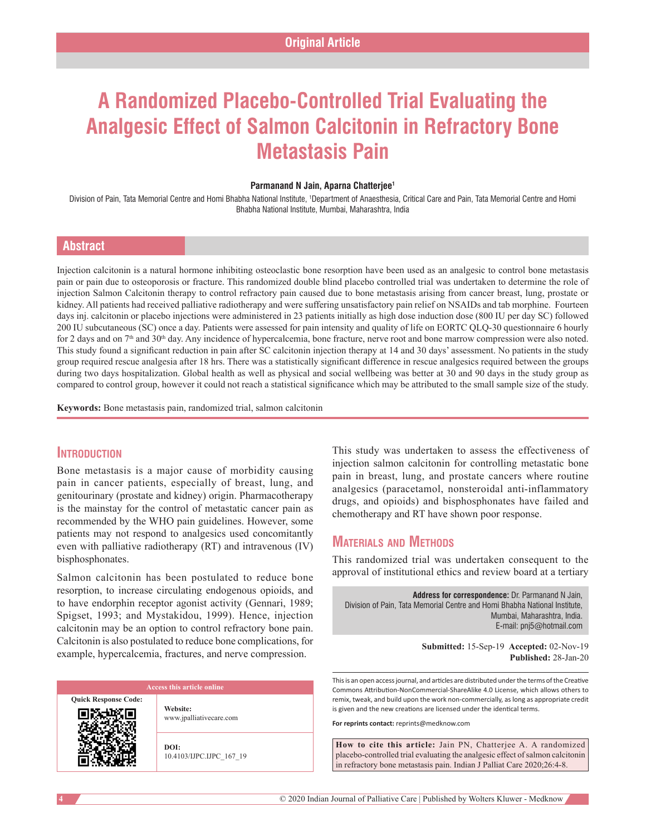# **A Randomized Placebo‑Controlled Trial Evaluating the Analgesic Effect of Salmon Calcitonin in Refractory Bone Metastasis Pain**

#### **Parmanand N Jain, Aparna Chatterjee1**

Division of Pain, Tata Memorial Centre and Homi Bhabha National Institute, †Department of Anaesthesia, Critical Care and Pain, Tata Memorial Centre and Homi Bhabha National Institute, Mumbai, Maharashtra, India

### **Abstract**

Injection calcitonin is a natural hormone inhibiting osteoclastic bone resorption have been used as an analgesic to control bone metastasis pain or pain due to osteoporosis or fracture. This randomized double blind placebo controlled trial was undertaken to determine the role of injection Salmon Calcitonin therapy to control refractory pain caused due to bone metastasis arising from cancer breast, lung, prostate or kidney. All patients had received palliative radiotherapy and were suffering unsatisfactory pain relief on NSAIDs and tab morphine. Fourteen days inj. calcitonin or placebo injections were administered in 23 patients initially as high dose induction dose (800 IU per day SC) followed 200 IU subcutaneous (SC) once a day. Patients were assessed for pain intensity and quality of life on EORTC QLQ-30 questionnaire 6 hourly for 2 days and on  $7<sup>th</sup>$  and  $30<sup>th</sup>$  day. Any incidence of hypercalcemia, bone fracture, nerve root and bone marrow compression were also noted. This study found a significant reduction in pain after SC calcitonin injection therapy at 14 and 30 days' assessment. No patients in the study group required rescue analgesia after 18 hrs. There was a statistically significant difference in rescue analgesics required between the groups during two days hospitalization. Global health as well as physical and social wellbeing was better at 30 and 90 days in the study group as compared to control group, however it could not reach a statistical significance which may be attributed to the small sample size of the study.

**Keywords:** Bone metastasis pain, randomized trial, salmon calcitonin

# **Introduction**

Bone metastasis is a major cause of morbidity causing pain in cancer patients, especially of breast, lung, and genitourinary (prostate and kidney) origin. Pharmacotherapy is the mainstay for the control of metastatic cancer pain as recommended by the WHO pain guidelines. However, some patients may not respond to analgesics used concomitantly even with palliative radiotherapy (RT) and intravenous (IV) bisphosphonates.

Salmon calcitonin has been postulated to reduce bone resorption, to increase circulating endogenous opioids, and to have endorphin receptor agonist activity (Gennari, 1989; Spigset, 1993; and Mystakidou, 1999). Hence, injection calcitonin may be an option to control refractory bone pain. Calcitonin is also postulated to reduce bone complications, for example, hypercalcemia, fractures, and nerve compression.

**Quick Response Code:**

**Website:** www.jpalliativecare.com

**DOI:** 10.4103/IJPC.IJPC\_167\_19 This study was undertaken to assess the effectiveness of injection salmon calcitonin for controlling metastatic bone pain in breast, lung, and prostate cancers where routine analgesics (paracetamol, nonsteroidal anti‑inflammatory drugs, and opioids) and bisphosphonates have failed and chemotherapy and RT have shown poor response.

# **Materials and Methods**

This randomized trial was undertaken consequent to the approval of institutional ethics and review board at a tertiary

**Address for correspondence:** Dr. Parmanand N Jain, Division of Pain, Tata Memorial Centre and Homi Bhabha National Institute, Mumbai, Maharashtra, India. E‑mail: pnj5@hotmail.com

> **Submitted:** 15-Sep-19 **Accepted:** 02-Nov-19 **Published:** 28-Jan-20

This is an open access journal, and articles are distributed under the terms of the Creative Commons Attribution‑NonCommercial‑ShareAlike 4.0 License, which allows others to remix, tweak, and build upon the work non‑commercially, as long as appropriate credit is given and the new creations are licensed under the identical terms.

**For reprints contact:** reprints@medknow.com

**How to cite this article:** Jain PN, Chatterjee A. A randomized placebo-controlled trial evaluating the analgesic effect of salmon calcitonin in refractory bone metastasis pain. Indian J Palliat Care 2020;26:4-8.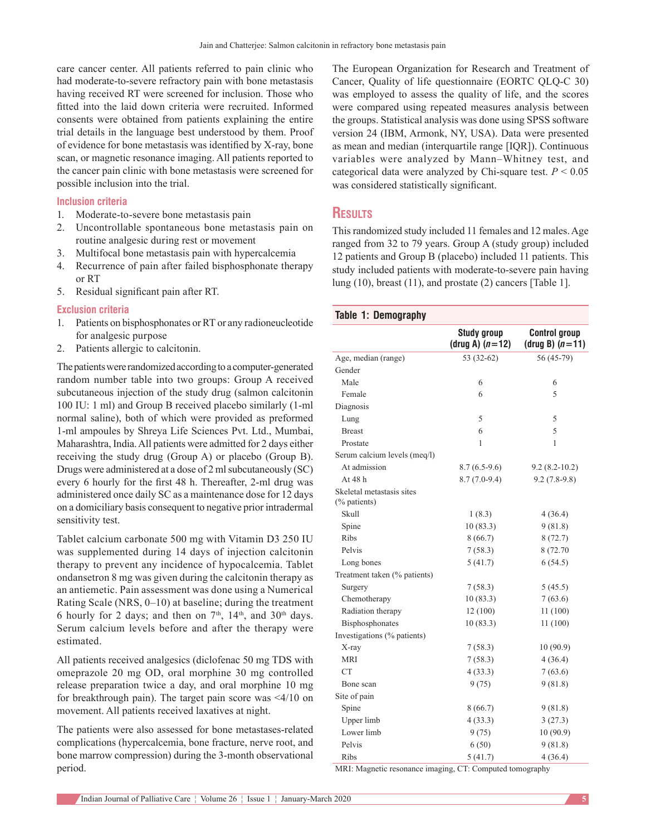care cancer center. All patients referred to pain clinic who had moderate-to-severe refractory pain with bone metastasis having received RT were screened for inclusion. Those who fitted into the laid down criteria were recruited. Informed consents were obtained from patients explaining the entire trial details in the language best understood by them. Proof of evidence for bone metastasis was identified by X‑ray, bone scan, or magnetic resonance imaging. All patients reported to the cancer pain clinic with bone metastasis were screened for possible inclusion into the trial.

#### **Inclusion criteria**

- 1. Moderate-to-severe bone metastasis pain
- 2. Uncontrollable spontaneous bone metastasis pain on routine analgesic during rest or movement
- 3. Multifocal bone metastasis pain with hypercalcemia
- 4. Recurrence of pain after failed bisphosphonate therapy or RT
- 5. Residual significant pain after RT.

#### **Exclusion criteria**

- 1. Patients on bisphosphonates or RT or any radioneucleotide for analgesic purpose
- 2. Patients allergic to calcitonin.

The patients were randomized according to a computer‑generated random number table into two groups: Group A received subcutaneous injection of the study drug (salmon calcitonin 100 IU: 1 ml) and Group B received placebo similarly (1-ml normal saline), both of which were provided as preformed 1‑ml ampoules by Shreya Life Sciences Pvt. Ltd., Mumbai, Maharashtra, India. All patients were admitted for 2 days either receiving the study drug (Group A) or placebo (Group B). Drugs were administered at a dose of 2 ml subcutaneously (SC) every 6 hourly for the first 48 h. Thereafter, 2‑ml drug was administered once daily SC as a maintenance dose for 12 days on a domiciliary basis consequent to negative prior intradermal sensitivity test.

Tablet calcium carbonate 500 mg with Vitamin D3 250 IU was supplemented during 14 days of injection calcitonin therapy to prevent any incidence of hypocalcemia. Tablet ondansetron 8 mg was given during the calcitonin therapy as an antiemetic. Pain assessment was done using a Numerical Rating Scale (NRS, 0–10) at baseline; during the treatment 6 hourly for 2 days; and then on  $7<sup>th</sup>$ ,  $14<sup>th</sup>$ , and  $30<sup>th</sup>$  days. Serum calcium levels before and after the therapy were estimated.

All patients received analgesics (diclofenac 50 mg TDS with omeprazole 20 mg OD, oral morphine 30 mg controlled release preparation twice a day, and oral morphine 10 mg for breakthrough pain). The target pain score was <4/10 on movement. All patients received laxatives at night.

The patients were also assessed for bone metastases‑related complications (hypercalcemia, bone fracture, nerve root, and bone marrow compression) during the 3-month observational period.

The European Organization for Research and Treatment of Cancer, Quality of life questionnaire (EORTC QLQ-C 30) was employed to assess the quality of life, and the scores were compared using repeated measures analysis between the groups. Statistical analysis was done using SPSS software version 24 (IBM, Armonk, NY, USA). Data were presented as mean and median (interquartile range [IQR]). Continuous variables were analyzed by Mann–Whitney test, and categorical data were analyzed by Chi-square test.  $P < 0.05$ was considered statistically significant.

# **Results**

This randomized study included 11 females and 12 males. Age ranged from 32 to 79 years. Group A (study group) included 12 patients and Group B (placebo) included 11 patients. This study included patients with moderate-to-severe pain having lung (10), breast (11), and prostate (2) cancers [Table 1].

| <b>Table 1: Demography</b>                |                                         |                                           |
|-------------------------------------------|-----------------------------------------|-------------------------------------------|
|                                           | <b>Study group</b><br>(drug A) $(n=12)$ | <b>Control group</b><br>(drug B) $(n=11)$ |
| Age, median (range)                       | 53 (32-62)                              | 56 (45-79)                                |
| Gender                                    |                                         |                                           |
| Male                                      | 6                                       | 6                                         |
| Female                                    | 6                                       | 5                                         |
| Diagnosis                                 |                                         |                                           |
| Lung                                      | 5                                       | 5                                         |
| <b>Breast</b>                             | 6                                       | 5                                         |
| Prostate                                  | 1                                       | 1                                         |
| Serum calcium levels (meq/l)              |                                         |                                           |
| At admission                              | $8.7(6.5-9.6)$                          | $9.2(8.2 - 10.2)$                         |
| At $48h$                                  | $8.7(7.0-9.4)$                          | $9.2(7.8-9.8)$                            |
| Skeletal metastasis sites<br>(% patients) |                                         |                                           |
| Skull                                     | 1(8.3)                                  | 4(36.4)                                   |
| Spine                                     | 10(83.3)                                | 9(81.8)                                   |
| Ribs                                      | 8(66.7)                                 | 8(72.7)                                   |
| Pelvis                                    | 7(58.3)                                 | 8 (72.70)                                 |
| Long bones                                | 5(41.7)                                 | 6(54.5)                                   |
| Treatment taken (% patients)              |                                         |                                           |
| Surgery                                   | 7(58.3)                                 | 5(45.5)                                   |
| Chemotherapy                              | 10(83.3)                                | 7(63.6)                                   |
| Radiation therapy                         | 12(100)                                 | 11(100)                                   |
| Bisphosphonates                           | 10(83.3)                                | 11(100)                                   |
| Investigations (% patients)               |                                         |                                           |
| X-ray                                     | 7(58.3)                                 | 10(90.9)                                  |
| MRI                                       | 7(58.3)                                 | 4(36.4)                                   |
| <b>CT</b>                                 | 4(33.3)                                 | 7(63.6)                                   |
| Bone scan                                 | 9(75)                                   | 9(81.8)                                   |
| Site of pain                              |                                         |                                           |
| Spine                                     | 8(66.7)                                 | 9(81.8)                                   |
| Upper limb                                | 4(33.3)                                 | 3(27.3)                                   |
| Lower limb                                | 9(75)                                   | 10(90.9)                                  |
| Pelvis                                    | 6(50)                                   | 9(81.8)                                   |
| Ribs                                      | 5(41.7)                                 | 4(36.4)                                   |

MRI: Magnetic resonance imaging, CT: Computed tomography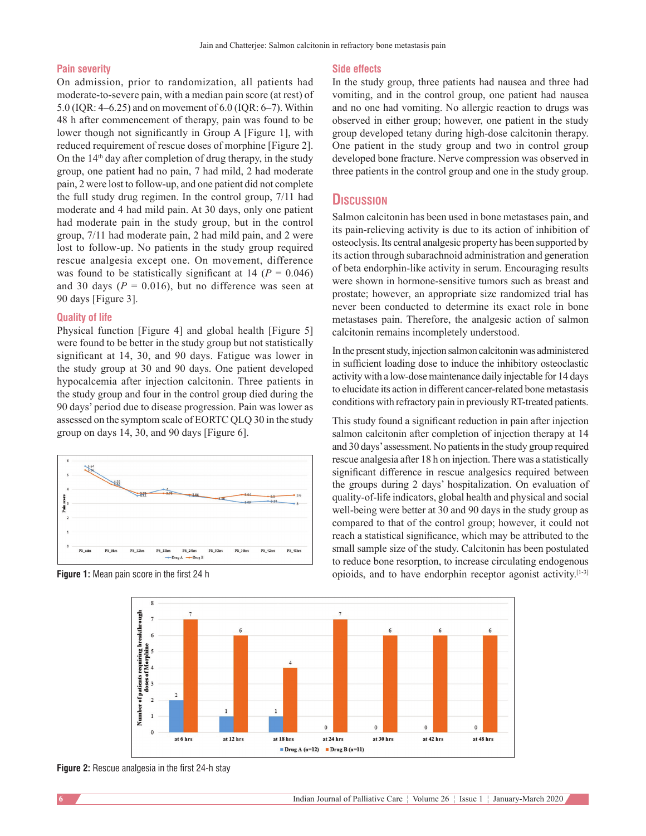#### **Pain severity**

On admission, prior to randomization, all patients had moderate-to-severe pain, with a median pain score (at rest) of 5.0 (IQR: 4–6.25) and on movement of 6.0 (IQR: 6–7). Within 48 h after commencement of therapy, pain was found to be lower though not significantly in Group A [Figure 1], with reduced requirement of rescue doses of morphine [Figure 2]. On the  $14<sup>th</sup>$  day after completion of drug therapy, in the study group, one patient had no pain, 7 had mild, 2 had moderate pain, 2 were lost to follow‑up, and one patient did not complete the full study drug regimen. In the control group, 7/11 had moderate and 4 had mild pain. At 30 days, only one patient had moderate pain in the study group, but in the control group, 7/11 had moderate pain, 2 had mild pain, and 2 were lost to follow‑up. No patients in the study group required rescue analgesia except one. On movement, difference was found to be statistically significant at  $14$  ( $P = 0.046$ ) and 30 days ( $P = 0.016$ ), but no difference was seen at 90 days [Figure 3].

#### **Quality of life**

Physical function [Figure 4] and global health [Figure 5] were found to be better in the study group but not statistically significant at 14, 30, and 90 days. Fatigue was lower in the study group at 30 and 90 days. One patient developed hypocalcemia after injection calcitonin. Three patients in the study group and four in the control group died during the 90 days' period due to disease progression. Pain was lower as assessed on the symptom scale of EORTC QLQ 30 in the study group on days 14, 30, and 90 days [Figure 6].



#### **Side effects**

In the study group, three patients had nausea and three had vomiting, and in the control group, one patient had nausea and no one had vomiting. No allergic reaction to drugs was observed in either group; however, one patient in the study group developed tetany during high‑dose calcitonin therapy. One patient in the study group and two in control group developed bone fracture. Nerve compression was observed in three patients in the control group and one in the study group.

### **Discussion**

Salmon calcitonin has been used in bone metastases pain, and its pain‑relieving activity is due to its action of inhibition of osteoclysis. Its central analgesic property has been supported by its action through subarachnoid administration and generation of beta endorphin‑like activity in serum. Encouraging results were shown in hormone-sensitive tumors such as breast and prostate; however, an appropriate size randomized trial has never been conducted to determine its exact role in bone metastases pain. Therefore, the analgesic action of salmon calcitonin remains incompletely understood.

In the present study, injection salmon calcitonin was administered in sufficient loading dose to induce the inhibitory osteoclastic activity with a low‑dose maintenance daily injectable for 14 days to elucidate its action in different cancer‑related bone metastasis conditions with refractory pain in previously RT-treated patients.

This study found a significant reduction in pain after injection salmon calcitonin after completion of injection therapy at 14 and 30 days' assessment. No patients in the study group required rescue analgesia after 18 h on injection. There was a statistically significant difference in rescue analgesics required between the groups during 2 days' hospitalization. On evaluation of quality‑of‑life indicators, global health and physical and social well-being were better at 30 and 90 days in the study group as compared to that of the control group; however, it could not reach a statistical significance, which may be attributed to the small sample size of the study. Calcitonin has been postulated to reduce bone resorption, to increase circulating endogenous **Figure 1:** Mean pain score in the first 24 h opioids, and to have endorphin receptor agonist activity.<sup>[1-3]</sup>



**Figure 2:** Rescue analgesia in the first 24‑h stay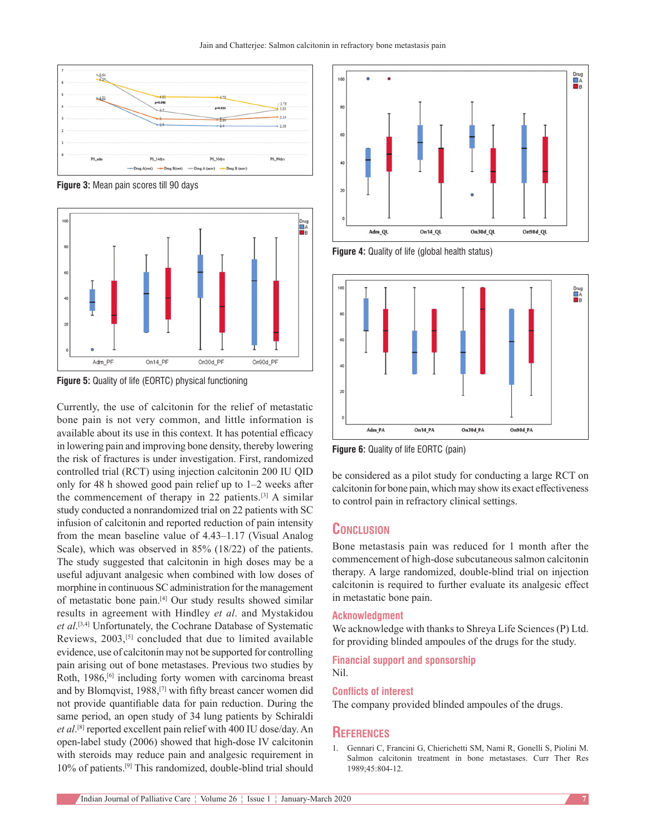

**Figure 3:** Mean pain scores till 90 days



**Figure 5:** Quality of life (EORTC) physical functioning

Currently, the use of calcitonin for the relief of metastatic bone pain is not very common, and little information is available about its use in this context. It has potential efficacy in lowering pain and improving bone density, thereby lowering the risk of fractures is under investigation. First, randomized controlled trial (RCT) using injection calcitonin 200 IU QID only for 48 h showed good pain relief up to 1–2 weeks after the commencement of therapy in 22 patients.[3] A similar study conducted a nonrandomized trial on 22 patients with SC infusion of calcitonin and reported reduction of pain intensity from the mean baseline value of 4.43–1.17 (Visual Analog Scale), which was observed in 85% (18/22) of the patients. The study suggested that calcitonin in high doses may be a useful adjuvant analgesic when combined with low doses of morphine in continuous SC administration for the management of metastatic bone pain.[4] Our study results showed similar results in agreement with Hindley *et al*. and Mystakidou *et al*. [3,4] Unfortunately, the Cochrane Database of Systematic Reviews, 2003,<sup>[5]</sup> concluded that due to limited available evidence, use of calcitonin may not be supported for controlling pain arising out of bone metastases. Previous two studies by Roth, 1986,<sup>[6]</sup> including forty women with carcinoma breast and by Blomqvist, 1988,[7] with fifty breast cancer women did not provide quantifiable data for pain reduction. During the same period, an open study of 34 lung patients by Schiraldi *et al*. [8] reported excellent pain relief with 400 IU dose/day. An open-label study (2006) showed that high-dose IV calcitonin with steroids may reduce pain and analgesic requirement in 10% of patients.[9] This randomized, double‑blind trial should



**Figure 4:** Quality of life (global health status)



**Figure 6:** Quality of life EORTC (pain)

be considered as a pilot study for conducting a large RCT on calcitonin for bone pain, which may show its exact effectiveness to control pain in refractory clinical settings.

# **Conclusion**

Bone metastasis pain was reduced for 1 month after the commencement of high-dose subcutaneous salmon calcitonin therapy. A large randomized, double‑blind trial on injection calcitonin is required to further evaluate its analgesic effect in metastatic bone pain.

#### **Acknowledgment**

We acknowledge with thanks to Shreya Life Sciences (P) Ltd. for providing blinded ampoules of the drugs for the study.

**Financial support and sponsorship** Nil.

#### **Conflicts of interest**

The company provided blinded ampoules of the drugs.

#### **References**

1. Gennari C, Francini G, Chierichetti SM, Nami R, Gonelli S, Piolini M. Salmon calcitonin treatment in bone metastases. Curr Ther Res 1989;45:804‑12.